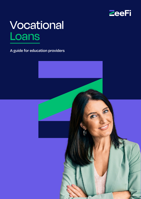

# **Vocational** Loans

**A guide for education providers**

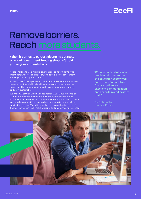

### Remove barriers. Reach more students.

**When it comes to career-advancing courses, a lack of government funding shouldn't hold you or your students back.**

Vocational Loans are a flexible payment option for students who might otherwise not be able to study due to a lack of government funding or fear of upfront costs.

As Australia's fintech partner to the education sector, we are focused on removing financial barriers like these so that more people can access quality education and providers can increase enrolments and grow sustainably.

We are an Australian Credit Licence holder (ACL 498589) compliant with ASIC requirements and trusted by educational institutions nationwide. Our laser focus on education means our Vocational Loans are based on competitive personalised interest rates and a tailored application process. We pride ourselves on taking the stress out of finance, so you can reach more students and unlock your full potential. **"We were in need of a loan provider who understood the education sector well and offered competitive finance options and excellent communication, and ZeeFi delivered exactly that."** 

Corey Bosecke, Learning People

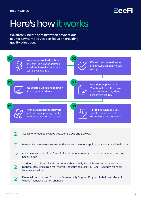

## Here's how it works

**We streamline the administration of vocational course payments so you can focus on providing quality education.**

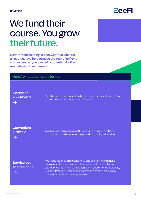### We fund their course. You grow their future.

**Government funding isn't always available for all courses. We help remove the fear of upfront course fees, so you can help students take the next steps in their careers.**

| Here's what that means for you |                                                                                                                                                                                                                                                                                           |  |
|--------------------------------|-------------------------------------------------------------------------------------------------------------------------------------------------------------------------------------------------------------------------------------------------------------------------------------------|--|
| <b>Increased</b>               | The ability to enrol students who can't pay for their study upfront                                                                                                                                                                                                                       |  |
| enrolments                     | or aren't eligible for government funding.                                                                                                                                                                                                                                                |  |
| <b>Convenient</b>              | We deal with students directly, so you don't need to chase                                                                                                                                                                                                                                |  |
| + simple                       | up payments and can focus on providing quality education.                                                                                                                                                                                                                                 |  |
| Service you<br>can count on    | Your reputation is important to us and as such, we manage<br>payment collections without heavy-handed debt collection<br>approaches. Our Financial Hardship and Customer Vulnerability<br>Support Program helps students whose financial situations<br>change throughout their agreement. |  |

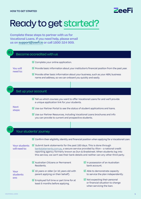VOCATIONAL LOANS



## Ready to get started?

**Complete these steps to partner with us for Vocational Loans. If you need help, please email us on [support@zeefi.io](mailto:support%40zeefi.io?subject=) or call 1800 324 909.**

| Become accredited with us             |                                                                                                                                                                                                                                                                                                                                         |                                                                                                               |  |
|---------------------------------------|-----------------------------------------------------------------------------------------------------------------------------------------------------------------------------------------------------------------------------------------------------------------------------------------------------------------------------------------|---------------------------------------------------------------------------------------------------------------|--|
| <b>You will</b><br>need to:           | $\triangleright$ Complete your online application.                                                                                                                                                                                                                                                                                      |                                                                                                               |  |
|                                       | $\triangledown$ Provide basic information about your institution's financial position from the past year.                                                                                                                                                                                                                               |                                                                                                               |  |
|                                       | $\triangleright$ Provide other basic information about your business, such as your ABN, business<br>name and address, so we can onboard you quickly and easily.                                                                                                                                                                         |                                                                                                               |  |
|                                       |                                                                                                                                                                                                                                                                                                                                         |                                                                                                               |  |
| Set up your account                   |                                                                                                                                                                                                                                                                                                                                         |                                                                                                               |  |
|                                       | $\overline{\mathbb{M}}$ Tell us which courses you want to offer Vocational Loans for and we'll provide<br>a unique application link for your students.                                                                                                                                                                                  |                                                                                                               |  |
| <b>Next</b><br>steps:                 | $\overline{\mathbf{M}}$ Use our Partner Portal to see the status of student applications and loans.                                                                                                                                                                                                                                     |                                                                                                               |  |
|                                       | $\overline{\mathbb{M}}$ Use our Partner Resources, including Vocational Loans brochures and info<br>you can provide to current and prospective students.                                                                                                                                                                                |                                                                                                               |  |
|                                       |                                                                                                                                                                                                                                                                                                                                         |                                                                                                               |  |
| Your students' journey                |                                                                                                                                                                                                                                                                                                                                         |                                                                                                               |  |
|                                       | $\boxtimes$ Confirm their eligibility, identity and financial position when applying for a Vocational Loan.                                                                                                                                                                                                                             |                                                                                                               |  |
| <b>Your students</b><br>will need to: | $\boxtimes$ Submit bank statements for the past 180 days. This is done through<br>bankstatements.com.au, a secure service provided by Illion - a national credit<br>reporting agency formerly known as Dun & Bradstreet. When students log into<br>this service, we can't see their bank details and neither can any other third party. |                                                                                                               |  |
| <b>Your</b><br>students<br>are:       | $\boxtimes$ Australian Citizens or Permanent<br>Residents.                                                                                                                                                                                                                                                                              | $\triangleright$ In possession of an Australian<br>bank account.                                              |  |
|                                       | $\overline{\mathbf{M}}$ 18 years or older (or 16 years old with<br>parent applying on their behalf).                                                                                                                                                                                                                                    | $\triangleright$ Able to demonstrate capacity<br>to service the plan independently.                           |  |
|                                       | $\triangleright$ Employed full time or part time for at<br>least 6 months before applying.                                                                                                                                                                                                                                              | $\triangleright$ Not expecting their personal<br>or financial situation to change<br>when servicing the loan. |  |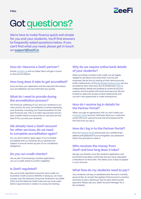

## Got questions?

**We're here to make finance quick and simple for you and your students. You'll find answers to frequently asked questions below. If you can't find what you need, please get in touch on [support@zeefi.io](mailto:support%40zeefi.io?subject=)**

#### **How do I become a ZeeFi partner?**

Simply [contact us](https://zeefi.io/contact-us/) and our Sales Team will get in touch to discuss the details.

#### **How long does it take to get accredited?**

Once we have your application and the required information, your accreditation can be confirmed very quickly.

#### **What do I need to provide during the accreditation process?**

The financial wellbeing of you and your students is our main priority. As such, accreditation involves assessing your business, including your financial position for the past financial year. This is an ASIC requirement and it's also a health check to ensure that our services are the best fit for you and your students.

#### **We already have a ZeeFi account for other services, do we need to complete accreditation again?**

No, you don't need to apply again if you're already accredited with us. However, all our partners are subject to annual review as part of our compliance obligations.

#### **Do you run credit checks?**

Yes, as part of processing a student application, we run a credit check to confirm eligibility.

#### **Is ZeeFi regulated?**

Yes, we provide regulated consumer loans under our Australian Credit Licence 498589. In doing so, we must comply with the *National Consumer Protection Act 2006* (Cth) and the National Credit Code and we must meet ASIC's requirements in relation to consumer lending.

#### **Why do we require online bank details of your students?**

When providing a student with credit, we are legally obliged to ask about and verify their income and expenses. We do this by looking at their bank accounts and/or statements via the [bankstatements.com.au](http://bankstatements.com.au) service, provided by Illion (formerly Dun & Bradstreet). [Illion](https://bankstatements.com.au/about/security) is independently tested and audited by external security experts, and encrypted with bank-level security. We are limited to read-only access to bank statements, and we can't view passwords or make transactions.

#### **How do I receive log in details for the Partner Portal?**

When you sign an agreement with us, we'll create you a [Partner Portal](https://portal.zeefi.io/s/login/) account. We'll also send you a welcome email with your username and one-time password for the first time you log in.

#### **How do I log in to the Partner Portal?**

Go to our [Partner Portal](https://portal.zeefi.io/s/login/) and provide your verified email address and password. If you've forgotten your password follow the prompts to reset it.

#### **Who receives the money from ZeeFi and how long does it take?**

We pay you directly once the student's application and enrolment have been confirmed, and you have requested a drawdown on the funds. This takes up to 3 days to appear in your account.

#### **What fees do my students need to pay?**

Your students will pay an establishment fee and a monthly account fee. An arrears fee applies if the account is overdue and there is also a dishonour fee for each dishonoured payment. Please ask your ZeeFi Account Manager for a fee schedule.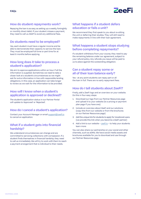

#### **How do student repayments work?**

Repaying the loan is as easy as setting up a weekly, fortnightly or monthly direct debit. If your student misses a payment, they need to call us ASAP to avoid any additional fees.

#### **Do students need to be employed?**

Yes, each student must have a regular income and be able to demonstrate their capacity to service the loan. They must be employed full time or part time for at least 6 months before applying.

#### **How long does it take to process a student's application?**

We aim to approve applications within an hour if all the information is supplied. Sometimes we need to take a closer look at a student's circumstances so we might ask for extra information in line with responsible lending obligations. In this case, an application can take longer to review as we wait for the information to be provided.

#### **How will I know when a student's application is approved or declined?**

The student's application status in our Partner Portal will update to 'Approved' or 'Rejected'.

#### **How do I cancel a student's application?**

Contact your Account Manager or email [support@zeefi.io](mailto:support%40zeefi.io?subject=) to cancel an application.

#### **What if a student gets into financial hardship?**

We understand circumstances can change and are committed to servicing collections with compassion. If a student finds themselves in financial hardship, they need to call us immediately. We will try to work with them to reach a payment arrangement that is individual to their needs.

#### **What happens if a student defers education or fails a unit?**

We recommend they first speak to you about re-sitting the unit or deferring their studies. They will still need to make repayments in line with their loan agreement.

#### **What happens a student stops studying before completing repayments?**

If a student withdraws from your course, they need to pay the remaining balance under our agreement, subject to your refund policy. Any refunds you issue will be paid to us to place against the outstanding obligation.

#### **Can a student repay some or all of their loan balance early?**

Yes - at any point students can repay part or all the loan in full. There are no early repayment fees.

#### **How do I tell students about ZeeFi?**

Firstly, add a ZeeFi logo and an overview on your website. Do this in four easy steps:

- 1. Download our logo from our Partner Resources page and upload it to your website (to a pricing or payment plan page if you have one)
- 2. Include an overview about ZeeFi and our solutions (copy this from our website or from the brochures on our Partner Resources page)
- 3. Add the unique link for students to apply for Vocational Loans (we provide this link when you become a ZeeFi partner)
- 4. Add a link to our website – [zeefi.io](http://zeefi.io) to help your students learn more

You can also share our partnership on your social and other channels, such as eDMs. We have social media assets and brochures available for you to download and use through our Partner Resources page.